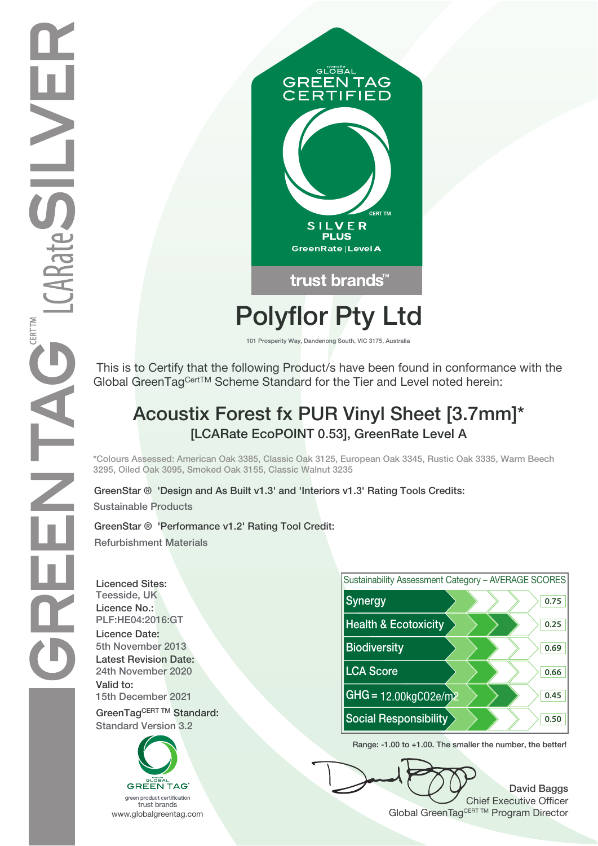

# **Polyflor Pty Ltd**

**101 Prosperity Way, Dandenong South, VIC 3175, Australia**

 This is to Certify that the following Product/s have been found in conformance with the Global GreenTagCertTM Scheme Standard for the Tier and Level noted herein:

## **Acoustix Forest fx PUR Vinyl Sheet [3.7mm]\* [LCARate EcoPOINT 0.53], GreenRate Level A**

**\*Colours Assessed: American Oak 3385, Classic Oak 3125, European Oak 3345, Rustic Oak 3335, Warm Beech 3295, Oiled Oak 3095, Smoked Oak 3155, Classic Walnut 3235**

**Sustainable Products GreenStar ® 'Design and As Built v1.3' and 'Interiors v1.3' Rating Tools Credits:**

**GreenStar ® 'Performance v1.2' Rating Tool Credit: Refurbishment Materials**

**Licenced Sites: Licence No.: Licence Date: Latest Revision Date: Valid to:**





**Range: -1.00 to +1.00. The smaller the number, the better!**

**David Baggs** Chief Executive Officer WWW.globalgreentag.com **Program Director** Clobal GreenTagCERT TM Program Director